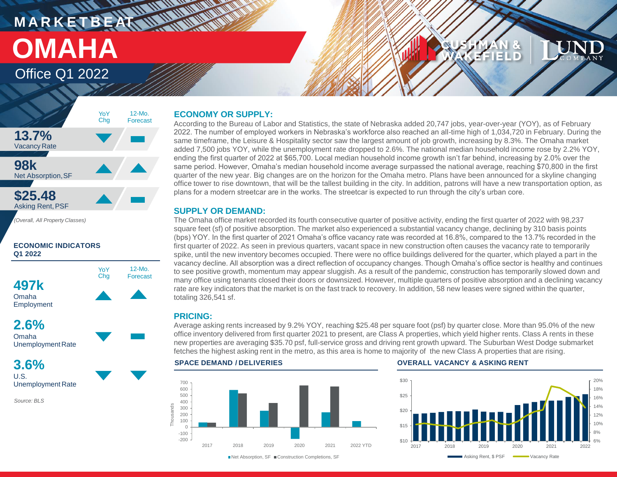# **MARKETBEAT MUNICIPAL OMAHA**

# Office Q1 2022



**ECONOMIC INDICATORS Q1 2022**





Unemployment Rate

**3.6%** U.S. Unemployment Rate

*Source: BLS*

# **ECONOMY OR SUPPLY:**

According to the Bureau of Labor and Statistics, the state of Nebraska added 20,747 jobs, year-over-year (YOY), as of February 2022. The number of employed workers in Nebraska's workforce also reached an all-time high of 1,034,720 in February. During the same timeframe, the Leisure & Hospitality sector saw the largest amount of job growth, increasing by 8.3%. The Omaha market added 7,500 jobs YOY, while the unemployment rate dropped to 2.6%. The national median household income rose by 2.2% YOY, ending the first quarter of 2022 at \$65,700. Local median household income growth isn't far behind, increasing by 2.0% over the same period. However, Omaha's median household income average surpassed the national average, reaching \$70,800 in the first quarter of the new year. Big changes are on the horizon for the Omaha metro. Plans have been announced for a skyline changing office tower to rise downtown, that will be the tallest building in the city. In addition, patrons will have a new transportation option, as plans for a modern streetcar are in the works. The streetcar is expected to run through the city's urban core.

# **SUPPLY OR DEMAND:**

The Omaha office market recorded its fourth consecutive quarter of positive activity, ending the first quarter of 2022 with 98,237 square feet (sf) of positive absorption. The market also experienced a substantial vacancy change, declining by 310 basis points (bps) YOY. In the first quarter of 2021 Omaha's office vacancy rate was recorded at 16.8%, compared to the 13.7% recorded in the first quarter of 2022. As seen in previous quarters, vacant space in new construction often causes the vacancy rate to temporarily spike, until the new inventory becomes occupied. There were no office buildings delivered for the quarter, which played a part in the vacancy decline. All absorption was a direct reflection of occupancy changes. Though Omaha's office sector is healthy and continues to see positive growth, momentum may appear sluggish. As a result of the pandemic, construction has temporarily slowed down and many office using tenants closed their doors or downsized. However, multiple quarters of positive absorption and a declining vacancy rate are key indicators that the market is on the fast track to recovery. In addition, 58 new leases were signed within the quarter, totaling 326,541 sf.

# **PRICING:**

Average asking rents increased by 9.2% YOY, reaching \$25.48 per square foot (psf) by quarter close. More than 95.0% of the new office inventory delivered from first quarter 2021 to present, are Class A properties, which yield higher rents. Class A rents in these new properties are averaging \$35.70 psf, full-service gross and driving rent growth upward. The Suburban West Dodge submarket fetches the highest asking rent in the metro, as this area is home to majority of the new Class A properties that are rising.

### -200 -100  $\Omega$ 100 200 300 400 500 600 700 2017 2018 2019 2020 2021 2022 YTD Thousands ■Net Absorption, SF ■ Construction Completions, SF

**SPACE DEMAND / DELIVERIES OVERALL VACANCY & ASKING RENT**



FFIELD